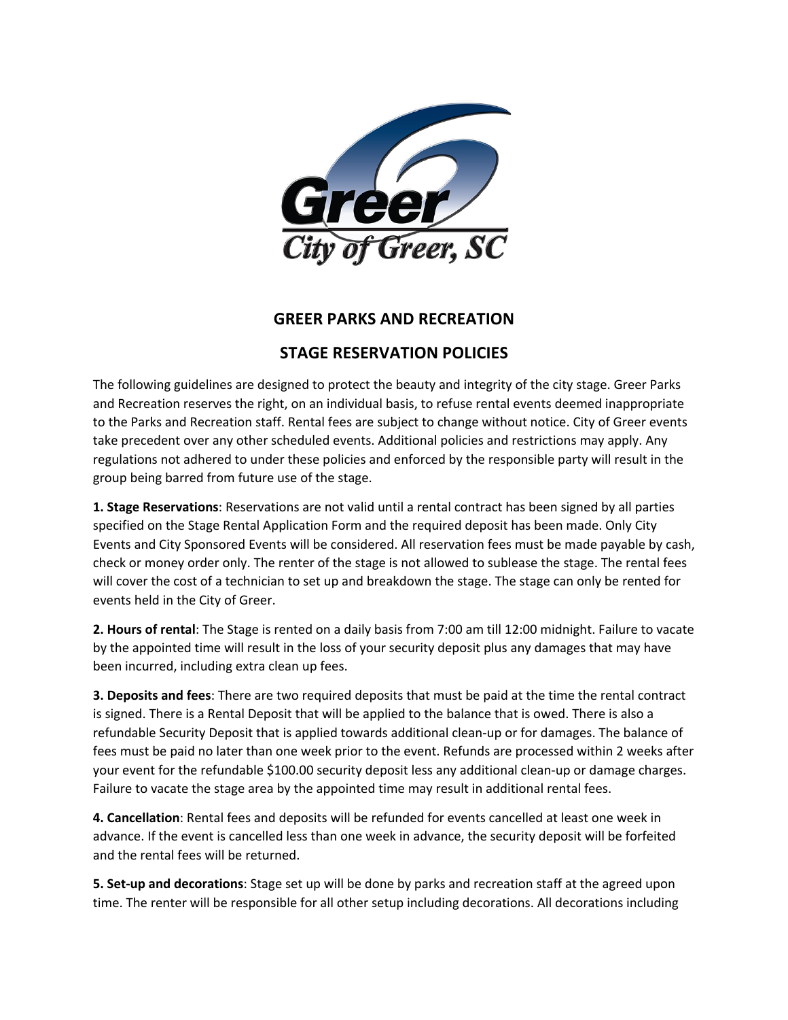

## **GREER PARKS AND RECREATION**

## **STAGE RESERVATION POLICIES**

The following guidelines are designed to protect the beauty and integrity of the city stage. Greer Parks and Recreation reserves the right, on an individual basis, to refuse rental events deemed inappropriate to the Parks and Recreation staff. Rental fees are subject to change without notice. City of Greer events take precedent over any other scheduled events. Additional policies and restrictions may apply. Any regulations not adhered to under these policies and enforced by the responsible party will result in the group being barred from future use of the stage.

**1. Stage Reservations**: Reservations are not valid until a rental contract has been signed by all parties specified on the Stage Rental Application Form and the required deposit has been made. Only City Events and City Sponsored Events will be considered. All reservation fees must be made payable by cash, check or money order only. The renter of the stage is not allowed to sublease the stage. The rental fees will cover the cost of a technician to set up and breakdown the stage. The stage can only be rented for events held in the City of Greer.

**2. Hours of rental**: The Stage is rented on a daily basis from 7:00 am till 12:00 midnight. Failure to vacate by the appointed time will result in the loss of your security deposit plus any damages that may have been incurred, including extra clean up fees.

**3. Deposits and fees**: There are two required deposits that must be paid at the time the rental contract is signed. There is a Rental Deposit that will be applied to the balance that is owed. There is also a refundable Security Deposit that is applied towards additional clean-up or for damages. The balance of fees must be paid no later than one week prior to the event. Refunds are processed within 2 weeks after your event for the refundable \$100.00 security deposit less any additional clean-up or damage charges. Failure to vacate the stage area by the appointed time may result in additional rental fees.

**4. Cancellation**: Rental fees and deposits will be refunded for events cancelled at least one week in advance. If the event is cancelled less than one week in advance, the security deposit will be forfeited and the rental fees will be returned.

**5. Set-up and decorations**: Stage set up will be done by parks and recreation staff at the agreed upon time. The renter will be responsible for all other setup including decorations. All decorations including